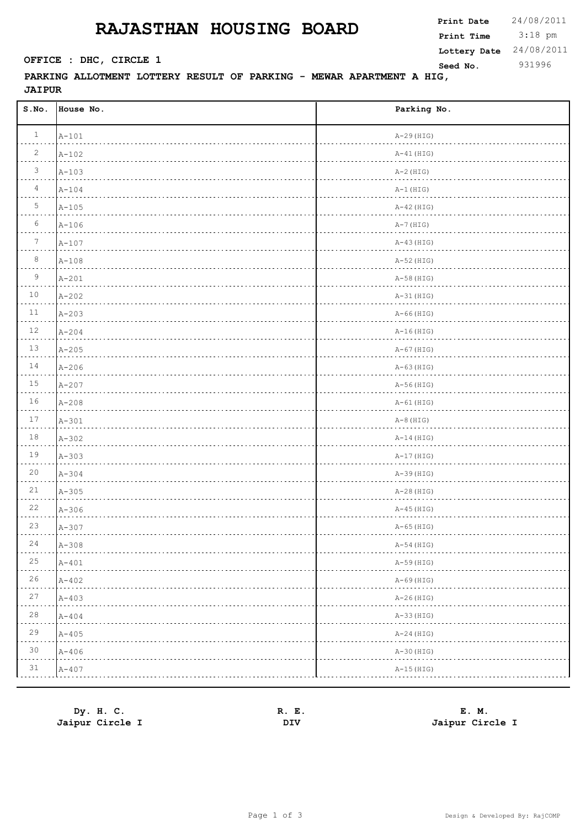## **RAJASTHAN HOUSING BOARD**

**PARKING ALLOTMENT LOTTERY RESULT OF PARKING - MEWAR APARTMENT A HIG, JAIPUR**

| S.NO.           | House No. | Parking No.  |
|-----------------|-----------|--------------|
| $\mathbf{1}$    | $A - 101$ | $A-29$ (HIG) |
| $\overline{c}$  | $A-102$   | $A-41$ (HIG) |
| $\mathcal{S}$   | $A-103$   | $A-2$ (HIG)  |
| $\frac{4}{1}$   | $A-104$   | $A-1$ (HIG)  |
| $5\phantom{.0}$ | $A-105$   | $A-42$ (HIG) |
| 6               | $A-106$   | $A-7$ (HIG)  |
| $7\phantom{.0}$ | $A - 107$ | $A-43$ (HIG) |
| $\,8\,$         | $A-108$   | A-52 (HIG)   |
| $\overline{9}$  | $A-201$   | A-58 (HIG)   |
| $10$            | $A-202$   | $A-31$ (HIG) |
| $11$            | $A-203$   | A-66 (HIG)   |
| 12              | $A-204$   | $A-16(HIG)$  |
| $13$            | $A-205$   | $A-67$ (HIG) |
| 14              | $A-206$   | $A-63$ (HIG) |
| $15$            | $A-207$   | $A-56$ (HIG) |
| 16              | $A-208$   | $A-61$ (HIG) |
| $17\,$          | $A - 301$ | $A-8$ (HIG)  |
| 18              | $A-302$   | $A-14$ (HIG) |
| 19              | $A - 303$ | $A-17$ (HIG) |
| 20              | $A-304$   | $A-39$ (HIG) |
| 21              | $A-305$   | $A-28$ (HIG) |
| 22              | $A-306$   | $A-45$ (HIG) |
| 23              | $A-307$   | $A-65$ (HIG) |
| 24<br>.         | $A-308$   | $A-54$ (HIG) |
| 25              | $A-401$   | $A-59$ (HIG) |
| 26              | $A - 402$ | $A-69$ (HIG) |
| 27              | $A - 403$ | $A-26$ (HIG) |
| $2\,8$          | $A - 404$ | $A-33$ (HIG) |
| 29              | $A - 405$ | $A-24$ (HIG) |
| $30$            | $A - 406$ | $A-30$ (HIG) |
| 31              | $A - 407$ | $A-15$ (HIG) |

| Dy. H. C.       | R. E. | E. M.           |
|-----------------|-------|-----------------|
| Jaipur Circle I | DIV   | Jaipur Circle I |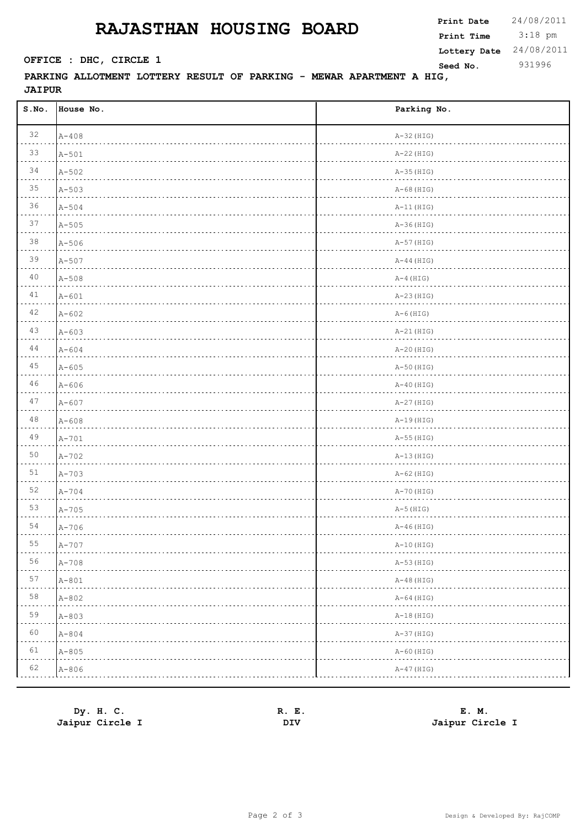## **RAJASTHAN HOUSING BOARD**

 3:18 pm **Print Date**  $24/08/2011$ **Print Time SEED COFFICE : DHC, CIRCLE 1 Seed No.** 931996 **Lottery Date** 24/08/2011

## **PARKING ALLOTMENT LOTTERY RESULT OF PARKING - MEWAR APARTMENT A HIG, JAIPUR**

| 32<br>$A - 408$<br>$A-32$ (HIG)<br>33<br>$A - 501$<br>$A-22$ (HIG)<br>34<br>$A - 502$<br>$A-35(HIG)$<br>35<br>$A - 503$<br>$A-68$ (HIG)<br>36<br>$A - 504$<br>$A-11$ (HIG)<br>37<br>$A - 505$<br>$A-36(HIG)$<br>38<br>$A - 506$<br>$A-57$ (HIG)<br>39<br>$A - 507$<br>$A-44$ (HIG)<br>40<br>$A - 508$<br>$A-4$ (HIG)<br>41<br>$A - 601$<br>$A-23$ (HIG)<br>42<br>$A - 602$<br>$A-6$ (HIG)<br>43<br>$A - 603$<br>$A-21$ (HIG)<br>44<br>$A - 604$<br>$A-20$ (HIG)<br>45<br>$A - 605$<br>$A-50$ (HIG)<br>46<br>$A - 606$<br>$A-40$ (HIG)<br>47<br>$A - 607$<br>$A-27$ (HIG)<br>48<br>$A - 608$<br>$A-19$ (HIG)<br>49<br>$A - 701$<br>$A-55$ (HIG)<br>50<br>$A - 702$<br>$A-13$ (HIG)<br>51<br>$A - 703$<br>$A-62$ (HIG)<br>52<br>$A - 704$<br>$A-70$ (HIG)<br>53<br>$A - 705$<br>$A-5$ (HIG)<br>54<br>$A - 706$<br>$A-46$ (HIG)<br>55<br>$A - 707$<br>$A-10$ (HIG)<br>$\mathcal{L}_{\mathcal{A}} = \mathcal{L}_{\mathcal{A}} + \mathcal{L}_{\mathcal{A}}$<br>56<br>$A - 708$<br>$A-53$ (HIG)<br>57<br>$A - 801$<br>$A-48$ (HIG)<br>58<br>$A - 802$<br>$A-64$ (HIG)<br>59<br>$A - 803$<br>$A-18$ (HIG)<br>60<br>$A - 804$<br>$A-37$ (HIG)<br>61<br>$A - 805$<br>$A-60$ (HIG)<br>62<br>$A - 806$<br>$A-47$ (HIG) | S.No. | House No. | Parking No. |
|-------------------------------------------------------------------------------------------------------------------------------------------------------------------------------------------------------------------------------------------------------------------------------------------------------------------------------------------------------------------------------------------------------------------------------------------------------------------------------------------------------------------------------------------------------------------------------------------------------------------------------------------------------------------------------------------------------------------------------------------------------------------------------------------------------------------------------------------------------------------------------------------------------------------------------------------------------------------------------------------------------------------------------------------------------------------------------------------------------------------------------------------------------------------------------------------------------------|-------|-----------|-------------|
|                                                                                                                                                                                                                                                                                                                                                                                                                                                                                                                                                                                                                                                                                                                                                                                                                                                                                                                                                                                                                                                                                                                                                                                                             |       |           |             |
|                                                                                                                                                                                                                                                                                                                                                                                                                                                                                                                                                                                                                                                                                                                                                                                                                                                                                                                                                                                                                                                                                                                                                                                                             |       |           |             |
|                                                                                                                                                                                                                                                                                                                                                                                                                                                                                                                                                                                                                                                                                                                                                                                                                                                                                                                                                                                                                                                                                                                                                                                                             |       |           |             |
|                                                                                                                                                                                                                                                                                                                                                                                                                                                                                                                                                                                                                                                                                                                                                                                                                                                                                                                                                                                                                                                                                                                                                                                                             |       |           |             |
|                                                                                                                                                                                                                                                                                                                                                                                                                                                                                                                                                                                                                                                                                                                                                                                                                                                                                                                                                                                                                                                                                                                                                                                                             |       |           |             |
|                                                                                                                                                                                                                                                                                                                                                                                                                                                                                                                                                                                                                                                                                                                                                                                                                                                                                                                                                                                                                                                                                                                                                                                                             |       |           |             |
|                                                                                                                                                                                                                                                                                                                                                                                                                                                                                                                                                                                                                                                                                                                                                                                                                                                                                                                                                                                                                                                                                                                                                                                                             |       |           |             |
|                                                                                                                                                                                                                                                                                                                                                                                                                                                                                                                                                                                                                                                                                                                                                                                                                                                                                                                                                                                                                                                                                                                                                                                                             |       |           |             |
|                                                                                                                                                                                                                                                                                                                                                                                                                                                                                                                                                                                                                                                                                                                                                                                                                                                                                                                                                                                                                                                                                                                                                                                                             |       |           |             |
|                                                                                                                                                                                                                                                                                                                                                                                                                                                                                                                                                                                                                                                                                                                                                                                                                                                                                                                                                                                                                                                                                                                                                                                                             |       |           |             |
|                                                                                                                                                                                                                                                                                                                                                                                                                                                                                                                                                                                                                                                                                                                                                                                                                                                                                                                                                                                                                                                                                                                                                                                                             |       |           |             |
|                                                                                                                                                                                                                                                                                                                                                                                                                                                                                                                                                                                                                                                                                                                                                                                                                                                                                                                                                                                                                                                                                                                                                                                                             |       |           |             |
|                                                                                                                                                                                                                                                                                                                                                                                                                                                                                                                                                                                                                                                                                                                                                                                                                                                                                                                                                                                                                                                                                                                                                                                                             |       |           |             |
|                                                                                                                                                                                                                                                                                                                                                                                                                                                                                                                                                                                                                                                                                                                                                                                                                                                                                                                                                                                                                                                                                                                                                                                                             |       |           |             |
|                                                                                                                                                                                                                                                                                                                                                                                                                                                                                                                                                                                                                                                                                                                                                                                                                                                                                                                                                                                                                                                                                                                                                                                                             |       |           |             |
|                                                                                                                                                                                                                                                                                                                                                                                                                                                                                                                                                                                                                                                                                                                                                                                                                                                                                                                                                                                                                                                                                                                                                                                                             |       |           |             |
|                                                                                                                                                                                                                                                                                                                                                                                                                                                                                                                                                                                                                                                                                                                                                                                                                                                                                                                                                                                                                                                                                                                                                                                                             |       |           |             |
|                                                                                                                                                                                                                                                                                                                                                                                                                                                                                                                                                                                                                                                                                                                                                                                                                                                                                                                                                                                                                                                                                                                                                                                                             |       |           |             |
|                                                                                                                                                                                                                                                                                                                                                                                                                                                                                                                                                                                                                                                                                                                                                                                                                                                                                                                                                                                                                                                                                                                                                                                                             |       |           |             |
|                                                                                                                                                                                                                                                                                                                                                                                                                                                                                                                                                                                                                                                                                                                                                                                                                                                                                                                                                                                                                                                                                                                                                                                                             |       |           |             |
|                                                                                                                                                                                                                                                                                                                                                                                                                                                                                                                                                                                                                                                                                                                                                                                                                                                                                                                                                                                                                                                                                                                                                                                                             |       |           |             |
|                                                                                                                                                                                                                                                                                                                                                                                                                                                                                                                                                                                                                                                                                                                                                                                                                                                                                                                                                                                                                                                                                                                                                                                                             |       |           |             |
|                                                                                                                                                                                                                                                                                                                                                                                                                                                                                                                                                                                                                                                                                                                                                                                                                                                                                                                                                                                                                                                                                                                                                                                                             |       |           |             |
|                                                                                                                                                                                                                                                                                                                                                                                                                                                                                                                                                                                                                                                                                                                                                                                                                                                                                                                                                                                                                                                                                                                                                                                                             |       |           |             |
|                                                                                                                                                                                                                                                                                                                                                                                                                                                                                                                                                                                                                                                                                                                                                                                                                                                                                                                                                                                                                                                                                                                                                                                                             |       |           |             |
|                                                                                                                                                                                                                                                                                                                                                                                                                                                                                                                                                                                                                                                                                                                                                                                                                                                                                                                                                                                                                                                                                                                                                                                                             |       |           |             |
|                                                                                                                                                                                                                                                                                                                                                                                                                                                                                                                                                                                                                                                                                                                                                                                                                                                                                                                                                                                                                                                                                                                                                                                                             |       |           |             |
|                                                                                                                                                                                                                                                                                                                                                                                                                                                                                                                                                                                                                                                                                                                                                                                                                                                                                                                                                                                                                                                                                                                                                                                                             |       |           |             |
|                                                                                                                                                                                                                                                                                                                                                                                                                                                                                                                                                                                                                                                                                                                                                                                                                                                                                                                                                                                                                                                                                                                                                                                                             |       |           |             |
|                                                                                                                                                                                                                                                                                                                                                                                                                                                                                                                                                                                                                                                                                                                                                                                                                                                                                                                                                                                                                                                                                                                                                                                                             |       |           |             |
|                                                                                                                                                                                                                                                                                                                                                                                                                                                                                                                                                                                                                                                                                                                                                                                                                                                                                                                                                                                                                                                                                                                                                                                                             |       |           |             |

| Dy. H. C.       | Е.<br>к. | E. M.           |
|-----------------|----------|-----------------|
| Jaipur Circle I | DIV      | Jaipur Circle I |